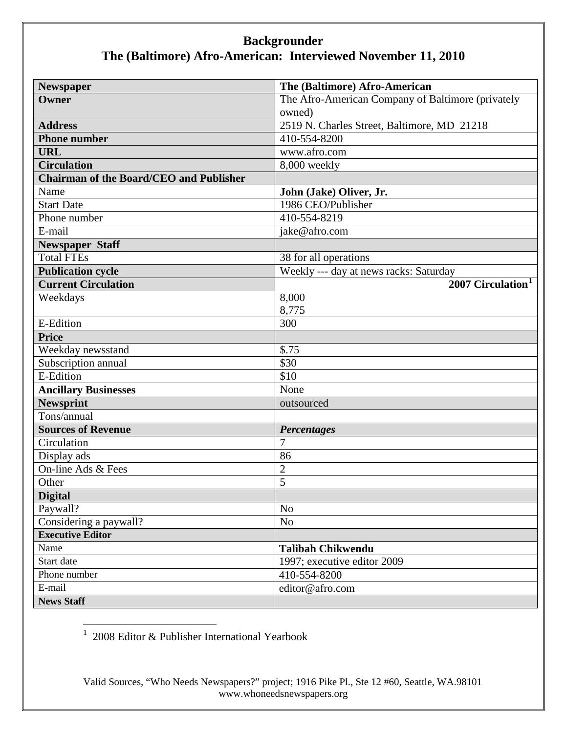| <b>Newspaper</b>                               | The (Baltimore) Afro-American                     |
|------------------------------------------------|---------------------------------------------------|
| Owner                                          | The Afro-American Company of Baltimore (privately |
|                                                | owned)                                            |
| <b>Address</b>                                 | 2519 N. Charles Street, Baltimore, MD 21218       |
| <b>Phone number</b>                            | 410-554-8200                                      |
| <b>URL</b>                                     | www.afro.com                                      |
| <b>Circulation</b>                             | 8,000 weekly                                      |
| <b>Chairman of the Board/CEO and Publisher</b> |                                                   |
| Name                                           | John (Jake) Oliver, Jr.                           |
| <b>Start Date</b>                              | 1986 CEO/Publisher                                |
| Phone number                                   | 410-554-8219                                      |
| E-mail                                         | jake@afro.com                                     |
| <b>Newspaper Staff</b>                         |                                                   |
| <b>Total FTEs</b>                              | 38 for all operations                             |
| <b>Publication cycle</b>                       | Weekly --- day at news racks: Saturday            |
| <b>Current Circulation</b>                     | 2007 Circulation <sup>1</sup>                     |
| Weekdays                                       | 8,000                                             |
|                                                | 8,775                                             |
| <b>E-Edition</b>                               | 300                                               |
| <b>Price</b>                                   |                                                   |
| Weekday newsstand                              | \$.75                                             |
| Subscription annual                            | \$30                                              |
| <b>E-Edition</b>                               | \$10                                              |
| <b>Ancillary Businesses</b>                    | None                                              |
| <b>Newsprint</b>                               | outsourced                                        |
| Tons/annual                                    |                                                   |
| <b>Sources of Revenue</b>                      | <b>Percentages</b>                                |
| Circulation                                    | $\overline{7}$                                    |
| Display ads                                    | 86                                                |
| On-line Ads & Fees                             | $\overline{2}$                                    |
| Other                                          | 5                                                 |
| <b>Digital</b>                                 |                                                   |
| Paywall?                                       | N <sub>o</sub>                                    |
| Considering a paywall?                         | No                                                |
| <b>Executive Editor</b>                        |                                                   |
| Name                                           | <b>Talibah Chikwendu</b>                          |
| Start date                                     | 1997; executive editor 2009                       |
| Phone number                                   | 410-554-8200                                      |
| E-mail                                         | editor@afro.com                                   |
| <b>News Staff</b>                              |                                                   |

<span id="page-0-0"></span>1 2008 Editor & Publisher International Yearbook

Valid Sources, "Who Needs Newspapers?" project; 1916 Pike Pl., Ste 12 #60, Seattle, WA.98101 www.whoneedsnewspapers.org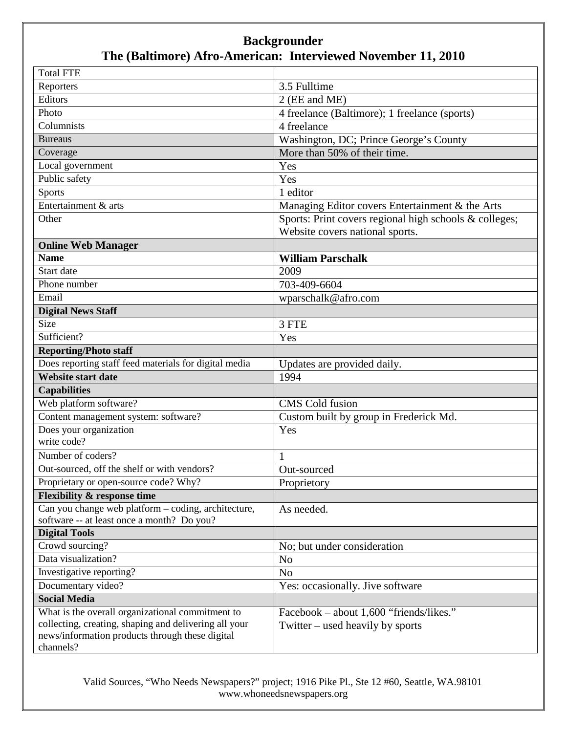| <b>Total FTE</b>                                                                                         |                                                        |
|----------------------------------------------------------------------------------------------------------|--------------------------------------------------------|
| Reporters                                                                                                | 3.5 Fulltime                                           |
| Editors                                                                                                  | 2 (EE and ME)                                          |
| Photo                                                                                                    | 4 freelance (Baltimore); 1 freelance (sports)          |
| Columnists                                                                                               | 4 freelance                                            |
| <b>Bureaus</b>                                                                                           | Washington, DC; Prince George's County                 |
| Coverage                                                                                                 | More than 50% of their time.                           |
| Local government                                                                                         | Yes                                                    |
| Public safety                                                                                            | Yes                                                    |
| <b>Sports</b>                                                                                            | 1 editor                                               |
| Entertainment & arts                                                                                     | Managing Editor covers Entertainment & the Arts        |
| Other                                                                                                    | Sports: Print covers regional high schools & colleges; |
|                                                                                                          | Website covers national sports.                        |
| <b>Online Web Manager</b>                                                                                |                                                        |
| <b>Name</b>                                                                                              | <b>William Parschalk</b>                               |
| Start date                                                                                               | 2009                                                   |
| Phone number                                                                                             | 703-409-6604                                           |
| Email                                                                                                    | wparschalk@afro.com                                    |
| <b>Digital News Staff</b>                                                                                |                                                        |
| Size                                                                                                     | 3 FTE                                                  |
| Sufficient?                                                                                              | Yes                                                    |
| <b>Reporting/Photo staff</b>                                                                             |                                                        |
| Does reporting staff feed materials for digital media                                                    | Updates are provided daily.                            |
| <b>Website start date</b>                                                                                | 1994                                                   |
| <b>Capabilities</b>                                                                                      |                                                        |
| Web platform software?                                                                                   | <b>CMS</b> Cold fusion                                 |
| Content management system: software?                                                                     | Custom built by group in Frederick Md.                 |
| Does your organization                                                                                   | Yes                                                    |
| write code?                                                                                              |                                                        |
| Number of coders?                                                                                        | $\mathbf{1}$                                           |
| Out-sourced, off the shelf or with vendors?                                                              | Out-sourced                                            |
| Proprietary or open-source code? Why?                                                                    | Proprietory                                            |
| <b>Flexibility &amp; response time</b>                                                                   |                                                        |
| Can you change web platform - coding, architecture,                                                      | As needed.                                             |
| software -- at least once a month? Do you?                                                               |                                                        |
| <b>Digital Tools</b>                                                                                     |                                                        |
| Crowd sourcing?                                                                                          | No; but under consideration                            |
| Data visualization?                                                                                      | N <sub>o</sub>                                         |
| Investigative reporting?                                                                                 | No                                                     |
| Documentary video?                                                                                       | Yes: occasionally. Jive software                       |
| <b>Social Media</b>                                                                                      |                                                        |
| What is the overall organizational commitment to                                                         | Facebook - about 1,600 "friends/likes."                |
| collecting, creating, shaping and delivering all your<br>news/information products through these digital | Twitter – used heavily by sports                       |
| channels?                                                                                                |                                                        |

Valid Sources, "Who Needs Newspapers?" project; 1916 Pike Pl., Ste 12 #60, Seattle, WA.98101 www.whoneedsnewspapers.org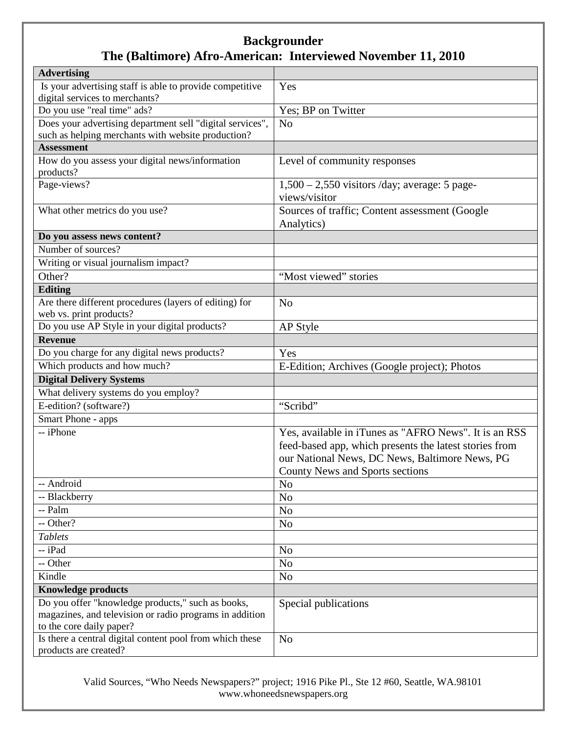| <b>Advertising</b>                                        |                                                        |
|-----------------------------------------------------------|--------------------------------------------------------|
| Is your advertising staff is able to provide competitive  | Yes                                                    |
| digital services to merchants?                            |                                                        |
| Do you use "real time" ads?                               | Yes; BP on Twitter                                     |
| Does your advertising department sell "digital services", | N <sub>0</sub>                                         |
| such as helping merchants with website production?        |                                                        |
| <b>Assessment</b>                                         |                                                        |
| How do you assess your digital news/information           | Level of community responses                           |
| products?                                                 |                                                        |
| Page-views?                                               | $1,500 - 2,550$ visitors /day; average: 5 page-        |
|                                                           | views/visitor                                          |
| What other metrics do you use?                            | Sources of traffic; Content assessment (Google         |
|                                                           | Analytics)                                             |
| Do you assess news content?                               |                                                        |
| Number of sources?                                        |                                                        |
| Writing or visual journalism impact?                      |                                                        |
| Other?                                                    | "Most viewed" stories                                  |
| Editing                                                   |                                                        |
| Are there different procedures (layers of editing) for    | N <sub>o</sub>                                         |
| web vs. print products?                                   |                                                        |
| Do you use AP Style in your digital products?             | AP Style                                               |
| <b>Revenue</b>                                            |                                                        |
| Do you charge for any digital news products?              | Yes                                                    |
| Which products and how much?                              | E-Edition; Archives (Google project); Photos           |
| <b>Digital Delivery Systems</b>                           |                                                        |
| What delivery systems do you employ?                      |                                                        |
| E-edition? (software?)                                    | "Scribd"                                               |
| Smart Phone - apps                                        |                                                        |
| -- iPhone                                                 | Yes, available in iTunes as "AFRO News". It is an RSS  |
|                                                           | feed-based app, which presents the latest stories from |
|                                                           | our National News, DC News, Baltimore News, PG         |
|                                                           | County News and Sports sections                        |
| -- Android                                                | No                                                     |
| -- Blackberry                                             | N <sub>o</sub>                                         |
| -- Palm                                                   | N <sub>o</sub>                                         |
| -- Other?                                                 | N <sub>o</sub>                                         |
| <b>Tablets</b>                                            |                                                        |
| -- iPad                                                   | N <sub>o</sub>                                         |
| -- Other                                                  | N <sub>o</sub>                                         |
| Kindle                                                    | N <sub>o</sub>                                         |
| <b>Knowledge products</b>                                 |                                                        |
| Do you offer "knowledge products," such as books,         | Special publications                                   |
| magazines, and television or radio programs in addition   |                                                        |
| to the core daily paper?                                  |                                                        |
| Is there a central digital content pool from which these  | N <sub>o</sub>                                         |
| products are created?                                     |                                                        |

Valid Sources, "Who Needs Newspapers?" project; 1916 Pike Pl., Ste 12 #60, Seattle, WA.98101 www.whoneedsnewspapers.org